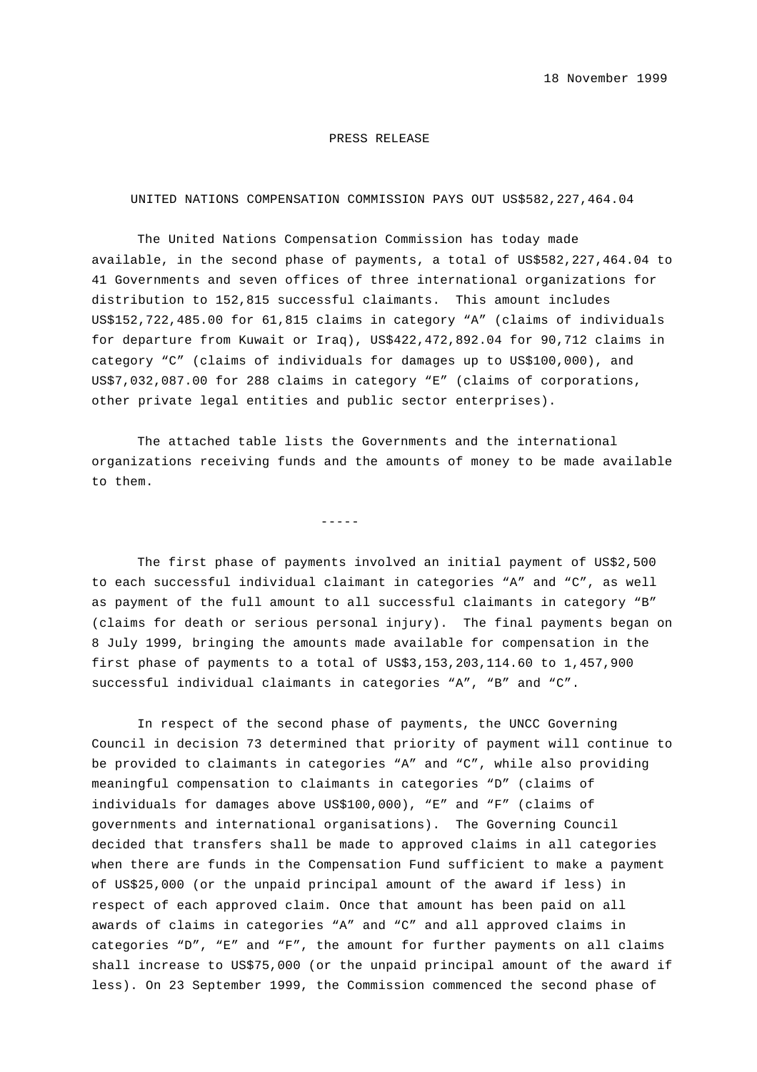## PRESS RELEASE

## UNITED NATIONS COMPENSATION COMMISSION PAYS OUT US\$582,227,464.04

The United Nations Compensation Commission has today made available, in the second phase of payments, a total of US\$582,227,464.04 to 41 Governments and seven offices of three international organizations for distribution to 152,815 successful claimants. This amount includes US\$152,722,485.00 for 61,815 claims in category "A" (claims of individuals for departure from Kuwait or Iraq), US\$422,472,892.04 for 90,712 claims in category "C" (claims of individuals for damages up to US\$100,000), and US\$7,032,087.00 for 288 claims in category "E" (claims of corporations, other private legal entities and public sector enterprises).

The attached table lists the Governments and the international organizations receiving funds and the amounts of money to be made available to them.

-----

The first phase of payments involved an initial payment of US\$2,500 to each successful individual claimant in categories "A" and "C", as well as payment of the full amount to all successful claimants in category "B" (claims for death or serious personal injury). The final payments began on 8 July 1999, bringing the amounts made available for compensation in the first phase of payments to a total of US\$3,153,203,114.60 to 1,457,900 successful individual claimants in categories "A", "B" and "C".

In respect of the second phase of payments, the UNCC Governing Council in decision 73 determined that priority of payment will continue to be provided to claimants in categories "A" and "C", while also providing meaningful compensation to claimants in categories "D" (claims of individuals for damages above US\$100,000), "E" and "F" (claims of governments and international organisations). The Governing Council decided that transfers shall be made to approved claims in all categories when there are funds in the Compensation Fund sufficient to make a payment of US\$25,000 (or the unpaid principal amount of the award if less) in respect of each approved claim. Once that amount has been paid on all awards of claims in categories "A" and "C" and all approved claims in categories "D", "E" and "F", the amount for further payments on all claims shall increase to US\$75,000 (or the unpaid principal amount of the award if less). On 23 September 1999, the Commission commenced the second phase of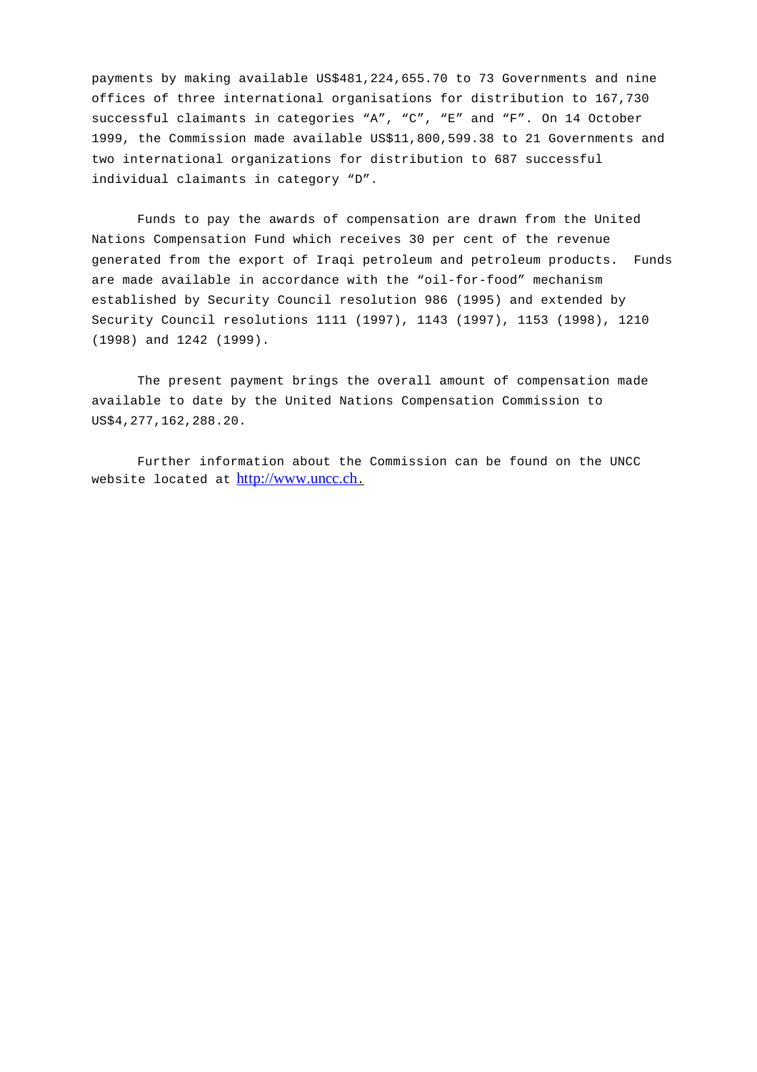payments by making available US\$481,224,655.70 to 73 Governments and nine offices of three international organisations for distribution to 167,730 successful claimants in categories "A", "C", "E" and "F". On 14 October 1999, the Commission made available US\$11,800,599.38 to 21 Governments and two international organizations for distribution to 687 successful individual claimants in category "D".

Funds to pay the awards of compensation are drawn from the United Nations Compensation Fund which receives 30 per cent of the revenue generated from the export of Iraqi petroleum and petroleum products. Funds are made available in accordance with the "oil-for-food" mechanism established by Security Council resolution 986 (1995) and extended by Security Council resolutions 1111 (1997), 1143 (1997), 1153 (1998), 1210 (1998) and 1242 (1999).

The present payment brings the overall amount of compensation made available to date by the United Nations Compensation Commission to US\$4,277,162,288.20.

Further information about the Commission can be found on the UNCC website located at http://www.uncc.ch.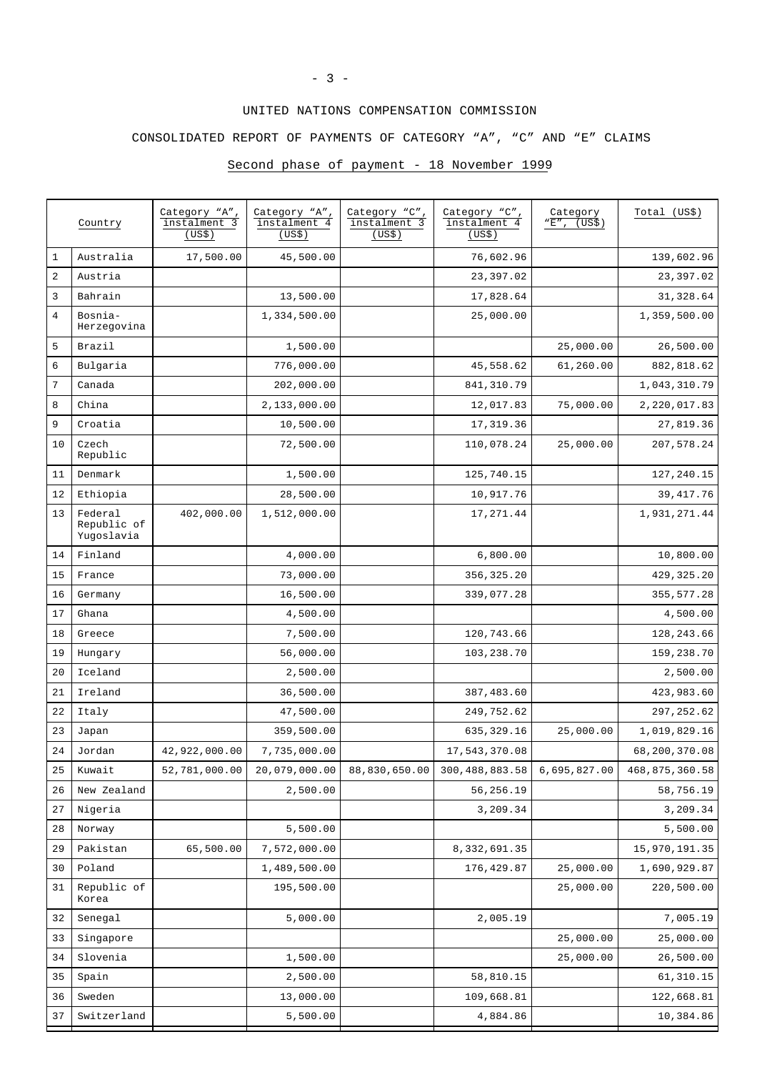## UNITED NATIONS COMPENSATION COMMISSION

CONSOLIDATED REPORT OF PAYMENTS OF CATEGORY "A", "C" AND "E" CLAIMS

## Second phase of payment - 18 November 1999

|                  | Country                              | Category "A",<br>instalment 3<br>(US\$) | Category "A",<br>instalment 4<br>(US\$) | Category "C",<br>instalment 3<br>(US\$) | Category "C",<br>instalment 4<br>(US\$)                                                                     | Category<br>"E", (US\$) | Total (US\$)   |
|------------------|--------------------------------------|-----------------------------------------|-----------------------------------------|-----------------------------------------|-------------------------------------------------------------------------------------------------------------|-------------------------|----------------|
| $\mathbf 1$      | Australia                            | 17,500.00                               | 45,500.00                               |                                         | 76,602.96                                                                                                   |                         | 139,602.96     |
| $\boldsymbol{2}$ | Austria                              |                                         |                                         |                                         | 23, 397.02                                                                                                  |                         | 23,397.02      |
| $\mathsf{3}$     | Bahrain                              |                                         | 13,500.00                               |                                         | 17,828.64                                                                                                   |                         | 31,328.64      |
| 4                | Bosnia-<br>Herzegovina               |                                         | 1,334,500.00                            |                                         | 25,000.00                                                                                                   |                         | 1,359,500.00   |
| 5                | Brazil                               |                                         | 1,500.00                                |                                         |                                                                                                             | 25,000.00               | 26,500.00      |
| 6                | Bulgaria                             |                                         | 776,000.00                              |                                         | 45,558.62                                                                                                   | 61,260.00               | 882,818.62     |
| 7                | Canada                               |                                         | 202,000.00                              |                                         | 841, 310.79                                                                                                 |                         | 1,043,310.79   |
| 8                | China                                |                                         | 2,133,000.00                            |                                         | 12,017.83                                                                                                   | 75,000.00               | 2,220,017.83   |
| 9                | Croatia                              |                                         | 10,500.00                               |                                         | 17, 319.36                                                                                                  |                         | 27,819.36      |
| 10               | Czech<br>Republic                    |                                         | 72,500.00                               |                                         | 110,078.24                                                                                                  | 25,000.00               | 207,578.24     |
| 11               | Denmark                              |                                         | 1,500.00                                |                                         | 125,740.15                                                                                                  |                         | 127,240.15     |
| 12               | Ethiopia                             |                                         | 28,500.00                               |                                         | 10,917.76                                                                                                   |                         | 39, 417.76     |
| 13               | Federal<br>Republic of<br>Yugoslavia | 402,000.00                              | 1,512,000.00                            |                                         | 17, 271.44                                                                                                  |                         | 1,931,271.44   |
| 14               | Finland                              |                                         | 4,000.00                                |                                         | 6,800.00                                                                                                    |                         | 10,800.00      |
| 15               | France                               |                                         | 73,000.00                               |                                         | 356, 325.20                                                                                                 |                         | 429, 325.20    |
| 16               | Germany                              |                                         | 16,500.00                               |                                         | 339,077.28                                                                                                  |                         | 355, 577.28    |
| 17               | Ghana                                |                                         | 4,500.00                                |                                         |                                                                                                             |                         | 4,500.00       |
| 18               | Greece                               |                                         | 7,500.00                                |                                         | 120,743.66                                                                                                  |                         | 128, 243.66    |
| 19               | Hungary                              |                                         | 56,000.00                               |                                         | 103,238.70                                                                                                  |                         | 159,238.70     |
| 20               | Iceland                              |                                         | 2,500.00                                |                                         |                                                                                                             |                         | 2,500.00       |
| 21               | Ireland                              |                                         | 36,500.00                               |                                         | 387,483.60                                                                                                  |                         | 423,983.60     |
| 22               | Italy                                |                                         | 47,500.00                               |                                         | 249,752.62                                                                                                  |                         | 297, 252.62    |
| 23               | Japan                                |                                         | 359,500.00                              |                                         | 635,329.16                                                                                                  | 25,000.00               | 1,019,829.16   |
| 24               | Jordan                               | 42,922,000.00                           | 7,735,000.00                            |                                         | 17,543,370.08                                                                                               |                         | 68,200,370.08  |
| 25               | Kuwait                               |                                         |                                         |                                         | $52,781,000.00$ $\mid$ $20,079,000.00$ $\mid$ $88,830,650.00$ $\mid$ $300,488,883.58$ $\mid$ $6,695,827.00$ |                         | 468,875,360.58 |
| 26               | New Zealand                          |                                         | 2,500.00                                |                                         | 56,256.19                                                                                                   |                         | 58,756.19      |
| 27               | Nigeria                              |                                         |                                         |                                         | 3,209.34                                                                                                    |                         | 3,209.34       |
| 28               | Norway                               |                                         | 5,500.00                                |                                         |                                                                                                             |                         | 5,500.00       |
| 29               | Pakistan                             | 65,500.00                               | 7,572,000.00                            |                                         | 8,332,691.35                                                                                                |                         | 15,970,191.35  |
| 30               | Poland                               |                                         | 1,489,500.00                            |                                         | 176, 429.87                                                                                                 | 25,000.00               | 1,690,929.87   |
| 31               | Republic of<br>Korea                 |                                         | 195,500.00                              |                                         |                                                                                                             | 25,000.00               | 220,500.00     |
| 32               | Senegal                              |                                         | 5,000.00                                |                                         | 2,005.19                                                                                                    |                         | 7,005.19       |
| 33               | Singapore                            |                                         |                                         |                                         |                                                                                                             | 25,000.00               | 25,000.00      |
| 34               | Slovenia                             |                                         | 1,500.00                                |                                         |                                                                                                             | 25,000.00               | 26,500.00      |
| 35               | Spain                                |                                         | 2,500.00                                |                                         | 58,810.15                                                                                                   |                         | 61,310.15      |
| 36               | Sweden                               |                                         | 13,000.00                               |                                         | 109,668.81                                                                                                  |                         | 122,668.81     |
| 37               | Switzerland                          |                                         | 5,500.00                                |                                         | 4,884.86                                                                                                    |                         | 10,384.86      |